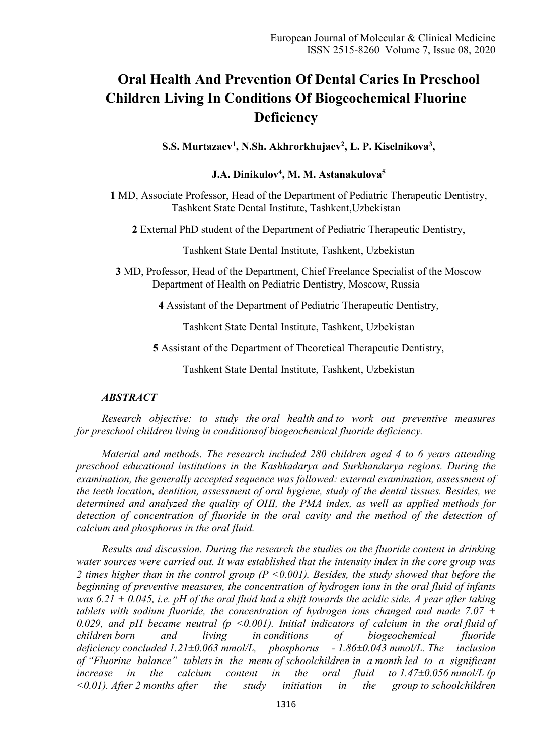# **Oral Health And Prevention Of Dental Caries In Preschool Children Living In Conditions Of Biogeochemical Fluorine Deficiency**

**S.S. Murtazaev<sup>1</sup> , N.Sh. Akhrorkhujaev<sup>2</sup> , L. P. Kiselnikova<sup>3</sup> ,** 

## **J.A. Dinikulov<sup>4</sup> , M. M. Astanakulova<sup>5</sup>**

**1** MD, Associate Professor, Head of the Department of Pediatric Therapeutic Dentistry, Tashkent State Dental Institute, Tashkent,Uzbekistan

**2** External PhD student of the Department of Pediatric Therapeutic Dentistry,

Tashkent State Dental Institute, Tashkent, Uzbekistan

**3** MD, Professor, Head of the Department, Chief Freelance Specialist of the Moscow Department of Health on Pediatric Dentistry, Moscow, Russia

**4** Assistant of the Department of Pediatric Therapeutic Dentistry,

Tashkent State Dental Institute, Tashkent, Uzbekistan

**5** Assistant of the Department of Theoretical Therapeutic Dentistry,

Tashkent State Dental Institute, Tashkent, Uzbekistan

## *ABSTRACT*

*Research objective: to study the oral health and to work out preventive measures for preschool children living in conditionsof biogeochemical fluoride deficiency.* 

*Material and methods. The research included 280 children aged 4 to 6 years attending preschool educational institutions in the Kashkadarya and Surkhandarya regions. During the examination, the generally accepted sequence was followed: external examination, assessment of the teeth location, dentition, assessment of oral hygiene, study of the dental tissues. Besides, we determined and analyzed the quality of OHI, the PMA index, as well as applied methods for*  detection of concentration of fluoride in the oral cavity and the method of the detection of *calcium and phosphorus in the oral fluid.* 

*Results and discussion. During the research the studies on the fluoride content in drinking water sources were carried out. It was established that the intensity index in the core group was 2 times higher than in the control group (P <0.001). Besides, the study showed that before the beginning of preventive measures, the concentration of hydrogen ions in the oral fluid of infants was 6.21 + 0.045, i.e. pH of the oral fluid had a shift towards the acidic side. A year after taking tablets with sodium fluoride, the concentration of hydrogen ions changed and made 7.07 + 0.029, and pH became neutral (p <0.001). Initial indicators of calcium in the oral fluid of children born and living in conditions of biogeochemical fluoride deficiency concluded 1.21±0.063 mmol/L, phosphorus - 1.86±0.043 mmol/L. The inclusion of "Fluorine balance" tablets in the menu of schoolchildren in a month led to a significant increase in the calcium content in the oral fluid to*  $1.47 \pm 0.056$  *mmol/L (p <0.01). After 2 months after the study initiation in the group to schoolchildren*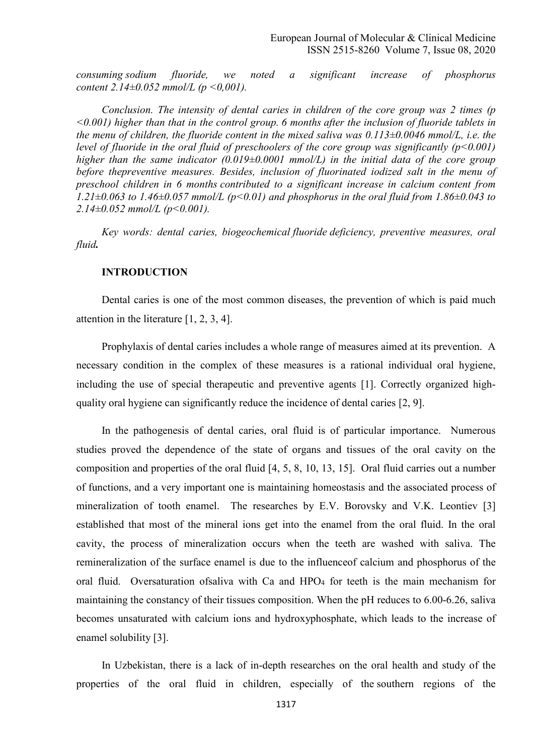*consuming sodium fluoride, we noted a significant increase of phosphorus content 2.14±0.052 mmol/L (p <0,001).* 

*Conclusion. The intensity of dental caries in children of the core group was 2 times (p <0.001) higher than that in the control group. 6 months after the inclusion of fluoride tablets in the menu of children, the fluoride content in the mixed saliva was 0.113±0.0046 mmol/L, i.e. the level of fluoride in the oral fluid of preschoolers of the core group was significantly (p<0.001) higher than the same indicator (0.019±0.0001 mmol/L) in the initial data of the core group before thepreventive measures. Besides, inclusion of fluorinated iodized salt in the menu of preschool children in 6 months contributed to a significant increase in calcium content from 1.21±0.063 to 1.46±0.057 mmol/L (p<0.01) and phosphorus in the oral fluid from 1.86±0.043 to 2.14±0.052 mmol/L (p<0.001).* 

*Key words: dental caries, biogeochemical fluoride deficiency, preventive measures, oral fluid.* 

#### **INTRODUCTION**

Dental caries is one of the most common diseases, the prevention of which is paid much attention in the literature [1, 2, 3, 4].

Prophylaxis of dental caries includes a whole range of measures aimed at its prevention. A necessary condition in the complex of these measures is a rational individual oral hygiene, including the use of special therapeutic and preventive agents [1]. Correctly organized highquality oral hygiene can significantly reduce the incidence of dental caries [2, 9].

In the pathogenesis of dental caries, oral fluid is of particular importance. Numerous studies proved the dependence of the state of organs and tissues of the oral cavity on the composition and properties of the oral fluid [4, 5, 8, 10, 13, 15]. Oral fluid carries out a number of functions, and a very important one is maintaining homeostasis and the associated process of mineralization of tooth enamel. The researches by E.V. Borovsky and V.K. Leontiev [3] established that most of the mineral ions get into the enamel from the oral fluid. In the oral cavity, the process of mineralization occurs when the teeth are washed with saliva. The remineralization of the surface enamel is due to the influenceof calcium and phosphorus of the oral fluid. Oversaturation ofsaliva with Ca and HPO<sub>4</sub> for teeth is the main mechanism for maintaining the constancy of their tissues composition. When the pH reduces to 6.00-6.26, saliva becomes unsaturated with calcium ions and hydroxyphosphate, which leads to the increase of enamel solubility [3].

In Uzbekistan, there is a lack of in-depth researches on the oral health and study of the properties of the oral fluid in children, especially of the southern regions of the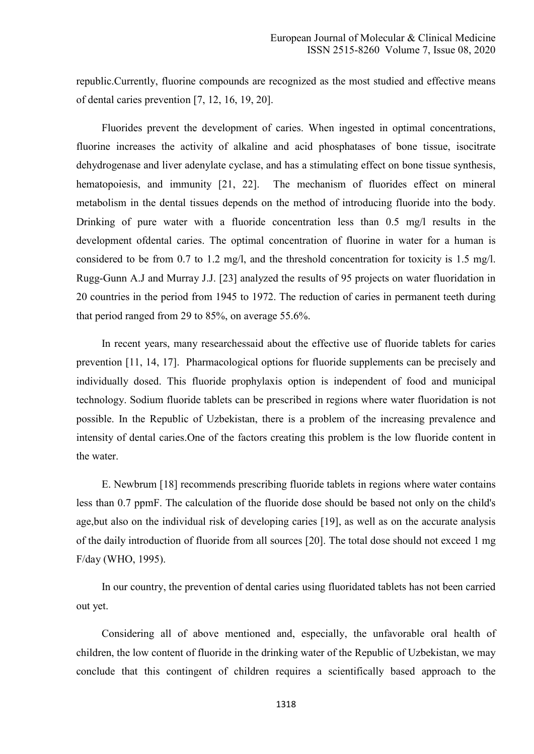republic.Currently, fluorine compounds are recognized as the most studied and effective means of dental caries prevention [7, 12, 16, 19, 20].

Fluorides prevent the development of caries. When ingested in optimal concentrations, fluorine increases the activity of alkaline and acid phosphatases of bone tissue, isocitrate dehydrogenase and liver adenylate cyclase, and has a stimulating effect on bone tissue synthesis, hematopoiesis, and immunity [21, 22]. The mechanism of fluorides effect on mineral metabolism in the dental tissues depends on the method of introducing fluoride into the body. Drinking of pure water with a fluoride concentration less than 0.5 mg/l results in the development ofdental caries. The optimal concentration of fluorine in water for a human is considered to be from 0.7 to 1.2 mg/l, and the threshold concentration for toxicity is 1.5 mg/l. Rugg-Gunn A.J and Murray J.J. [23] analyzed the results of 95 projects on water fluoridation in 20 countries in the period from 1945 to 1972. The reduction of caries in permanent teeth during that period ranged from 29 to 85%, on average 55.6%.

In recent years, many researchessaid about the effective use of fluoride tablets for caries prevention [11, 14, 17]. Pharmacological options for fluoride supplements can be precisely and individually dosed. This fluoride prophylaxis option is independent of food and municipal technology. Sodium fluoride tablets can be prescribed in regions where water fluoridation is not possible. In the Republic of Uzbekistan, there is a problem of the increasing prevalence and intensity of dental caries.One of the factors creating this problem is the low fluoride content in the water.

E. Newbrum [18] recommends prescribing fluoride tablets in regions where water contains less than 0.7 ppmF. The calculation of the fluoride dose should be based not only on the child's age,but also on the individual risk of developing caries [19], as well as on the accurate analysis of the daily introduction of fluoride from all sources [20]. The total dose should not exceed 1 mg F/day (WHO, 1995).

In our country, the prevention of dental caries using fluoridated tablets has not been carried out yet.

Considering all of above mentioned and, especially, the unfavorable oral health of children, the low content of fluoride in the drinking water of the Republic of Uzbekistan, we may conclude that this contingent of children requires a scientifically based approach to the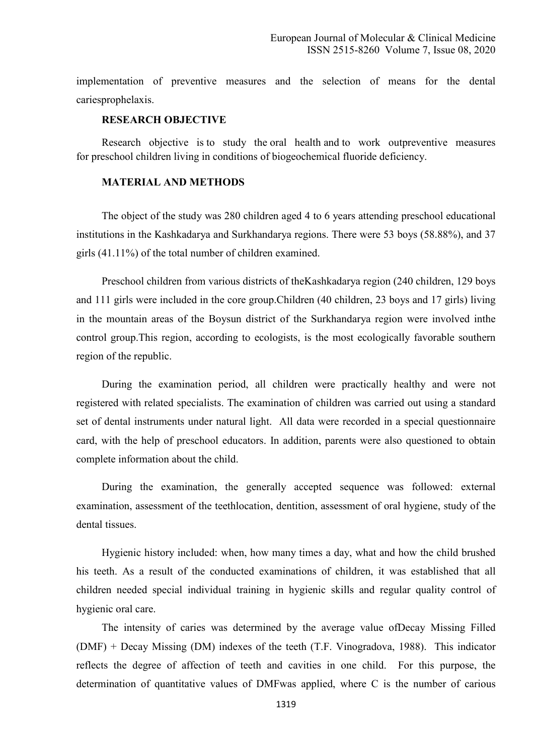implementation of preventive measures and the selection of means for the dental cariesprophelaxis.

#### **RESEARCH OBJECTIVE**

Research objective is to study the oral health and to work outpreventive measures for preschool children living in conditions of biogeochemical fluoride deficiency.

## **MATERIAL AND METHODS**

The object of the study was 280 children aged 4 to 6 years attending preschool educational institutions in the Kashkadarya and Surkhandarya regions. There were 53 boys (58.88%), and 37 girls (41.11%) of the total number of children examined.

Preschool children from various districts of theKashkadarya region (240 children, 129 boys and 111 girls were included in the core group.Children (40 children, 23 boys and 17 girls) living in the mountain areas of the Boysun district of the Surkhandarya region were involved inthe control group.This region, according to ecologists, is the most ecologically favorable southern region of the republic.

During the examination period, all children were practically healthy and were not registered with related specialists. The examination of children was carried out using a standard set of dental instruments under natural light. All data were recorded in a special questionnaire card, with the help of preschool educators. In addition, parents were also questioned to obtain complete information about the child.

During the examination, the generally accepted sequence was followed: external examination, assessment of the teethlocation, dentition, assessment of oral hygiene, study of the dental tissues.

Hygienic history included: when, how many times a day, what and how the child brushed his teeth. As a result of the conducted examinations of children, it was established that all children needed special individual training in hygienic skills and regular quality control of hygienic oral care.

The intensity of caries was determined by the average value ofDecay Missing Filled (DMF) + Decay Missing (DM) indexes of the teeth (T.F. Vinogradova, 1988). This indicator reflects the degree of affection of teeth and cavities in one child. For this purpose, the determination of quantitative values of DMFwas applied, where C is the number of carious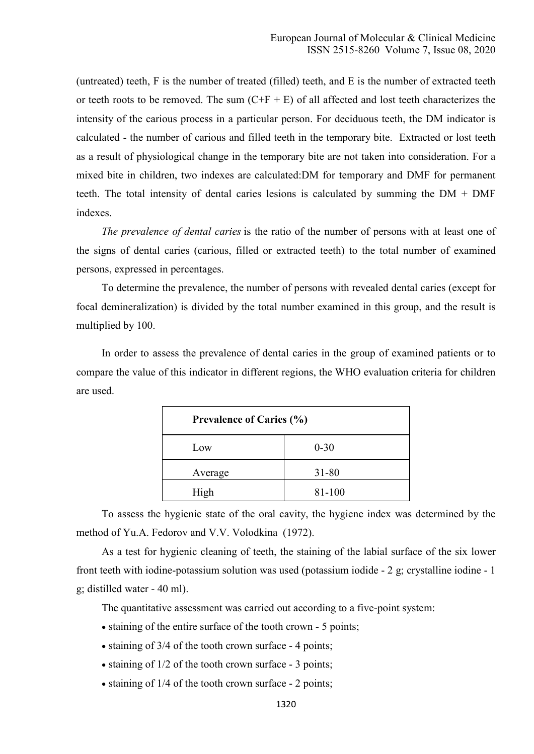(untreated) teeth, F is the number of treated (filled) teeth, and E is the number of extracted teeth or teeth roots to be removed. The sum  $(C+F+E)$  of all affected and lost teeth characterizes the intensity of the carious process in a particular person. For deciduous teeth, the DM indicator is calculated - the number of carious and filled teeth in the temporary bite. Extracted or lost teeth as a result of physiological change in the temporary bite are not taken into consideration. For a mixed bite in children, two indexes are calculated:DM for temporary and DMF for permanent teeth. The total intensity of dental caries lesions is calculated by summing the DM + DMF indexes.

*The prevalence of dental caries* is the ratio of the number of persons with at least one of the signs of dental caries (carious, filled or extracted teeth) to the total number of examined persons, expressed in percentages.

To determine the prevalence, the number of persons with revealed dental caries (except for focal demineralization) is divided by the total number examined in this group, and the result is multiplied by 100.

In order to assess the prevalence of dental caries in the group of examined patients or to compare the value of this indicator in different regions, the WHO evaluation criteria for children are used.

| <b>Prevalence of Caries (%)</b> |           |  |
|---------------------------------|-----------|--|
| Low                             | $0 - 30$  |  |
| Average                         | $31 - 80$ |  |
| High                            | 81-100    |  |

To assess the hygienic state of the oral cavity, the hygiene index was determined by the method of Yu.A. Fedorov and V.V. Volodkina (1972).

As a test for hygienic cleaning of teeth, the staining of the labial surface of the six lower front teeth with iodine-potassium solution was used (potassium iodide - 2 g; crystalline iodine - 1 g; distilled water - 40 ml).

The quantitative assessment was carried out according to a five-point system:

- staining of the entire surface of the tooth crown 5 points;
- staining of 3/4 of the tooth crown surface 4 points;
- staining of  $1/2$  of the tooth crown surface 3 points;
- staining of 1/4 of the tooth crown surface 2 points;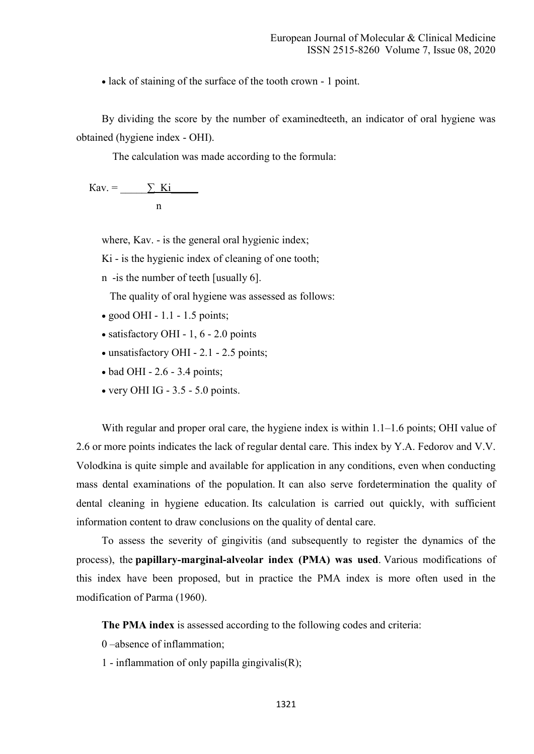lack of staining of the surface of the tooth crown - 1 point.

By dividing the score by the number of examinedteeth, an indicator of oral hygiene was obtained (hygiene index - OHI).

The calculation was made according to the formula:

 $Kav = \underline{\sum Ki}$ n

where, Kav. - is the general oral hygienic index;

Ki - is the hygienic index of cleaning of one tooth;

n -is the number of teeth [usually 6].

The quality of oral hygiene was assessed as follows:

- $\bullet$  good OHI 1.1 1.5 points;
- satisfactory OHI 1, 6 2.0 points
- unsatisfactory OHI 2.1 2.5 points;
- $\bullet$  bad OHI 2.6 3.4 points;
- $\bullet$  very OHI IG 3.5 5.0 points.

With regular and proper oral care, the hygiene index is within 1.1–1.6 points; OHI value of 2.6 or more points indicates the lack of regular dental care. This index by Y.A. Fedorov and V.V. Volodkina is quite simple and available for application in any conditions, even when conducting mass dental examinations of the population. It can also serve fordetermination the quality of dental cleaning in hygiene education. Its calculation is carried out quickly, with sufficient information content to draw conclusions on the quality of dental care.

To assess the severity of gingivitis (and subsequently to register the dynamics of the process), the **papillary-marginal-alveolar index (PMA) was used**. Various modifications of this index have been proposed, but in practice the PMA index is more often used in the modification of Parma (1960).

**The PMA index** is assessed according to the following codes and criteria:

- 0 –absence of inflammation;
- 1 inflammation of only papilla gingivalis(R);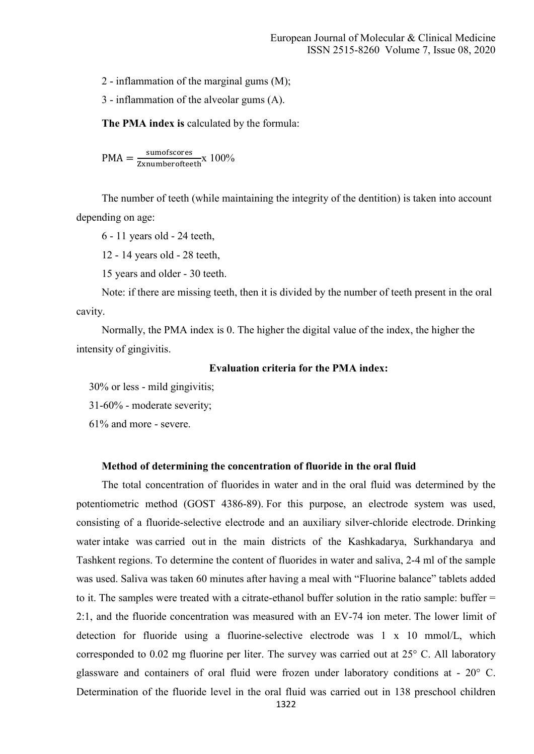2 - inflammation of the marginal gums (M);

3 - inflammation of the alveolar gums (A).

**The PMA index is** calculated by the formula:

 $PMA = \frac{\text{sumofscores}}{\text{Zxnumberofteeth}} \times 100\%$ 

The number of teeth (while maintaining the integrity of the dentition) is taken into account depending on age:

6 - 11 years old - 24 teeth,

12 - 14 years old - 28 teeth,

15 years and older - 30 teeth.

Note: if there are missing teeth, then it is divided by the number of teeth present in the oral cavity.

Normally, the PMA index is 0. The higher the digital value of the index, the higher the intensity of gingivitis.

#### **Evaluation criteria for the PMA index:**

30% or less - mild gingivitis;

31-60% - moderate severity;

61% and more - severe.

#### **Method of determining the concentration of fluoride in the oral fluid**

The total concentration of fluorides in water and in the oral fluid was determined by the potentiometric method (GOST 4386-89). For this purpose, an electrode system was used, consisting of a fluoride-selective electrode and an auxiliary silver-chloride electrode. Drinking water intake was carried out in the main districts of the Kashkadarya, Surkhandarya and Tashkent regions. To determine the content of fluorides in water and saliva, 2-4 ml of the sample was used. Saliva was taken 60 minutes after having a meal with "Fluorine balance" tablets added to it. The samples were treated with a citrate-ethanol buffer solution in the ratio sample: buffer = 2:1, and the fluoride concentration was measured with an EV-74 ion meter. The lower limit of detection for fluoride using a fluorine-selective electrode was 1 x 10 mmol/L, which corresponded to 0.02 mg fluorine per liter. The survey was carried out at 25° C. All laboratory glassware and containers of oral fluid were frozen under laboratory conditions at -  $20^{\circ}$  C. Determination of the fluoride level in the oral fluid was carried out in 138 preschool children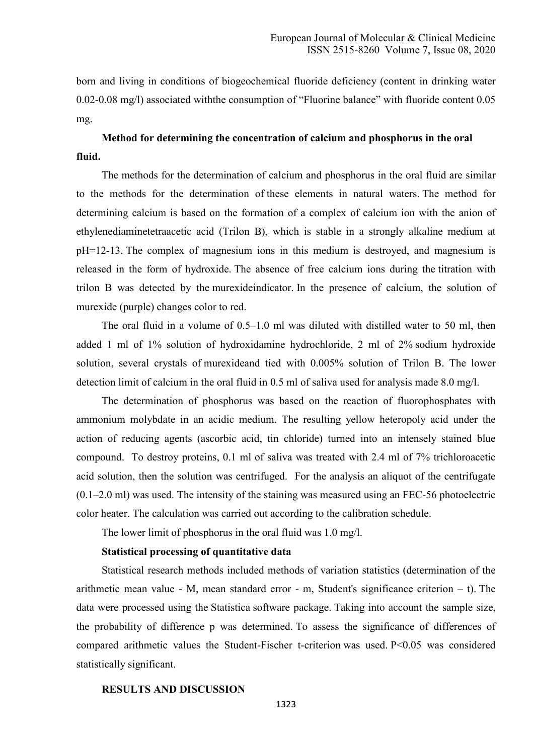born and living in conditions of biogeochemical fluoride deficiency (content in drinking water 0.02-0.08 mg/l) associated withthe consumption of "Fluorine balance" with fluoride content 0.05 mg.

## **Method for determining the concentration of calcium and phosphorus in the oral fluid.**

The methods for the determination of calcium and phosphorus in the oral fluid are similar to the methods for the determination of these elements in natural waters. The method for determining calcium is based on the formation of a complex of calcium ion with the anion of ethylenediaminetetraacetic acid (Trilon B), which is stable in a strongly alkaline medium at pH=12-13. The complex of magnesium ions in this medium is destroyed, and magnesium is released in the form of hydroxide. The absence of free calcium ions during the titration with trilon B was detected by the murexideindicator. In the presence of calcium, the solution of murexide (purple) changes color to red.

The oral fluid in a volume of 0.5–1.0 ml was diluted with distilled water to 50 ml, then added 1 ml of 1% solution of hydroxidamine hydrochloride, 2 ml of 2% sodium hydroxide solution, several crystals of murexideand tied with 0.005% solution of Trilon B. The lower detection limit of calcium in the oral fluid in 0.5 ml of saliva used for analysis made 8.0 mg/l.

The determination of phosphorus was based on the reaction of fluorophosphates with ammonium molybdate in an acidic medium. The resulting yellow heteropoly acid under the action of reducing agents (ascorbic acid, tin chloride) turned into an intensely stained blue compound. To destroy proteins, 0.1 ml of saliva was treated with 2.4 ml of 7% trichloroacetic acid solution, then the solution was centrifuged. For the analysis an aliquot of the centrifugate  $(0.1–2.0 \text{ ml})$  was used. The intensity of the staining was measured using an FEC-56 photoelectric color heater. The calculation was carried out according to the calibration schedule.

The lower limit of phosphorus in the oral fluid was 1.0 mg/l.

#### **Statistical processing of quantitative data**

Statistical research methods included methods of variation statistics (determination of the arithmetic mean value - M, mean standard error - m, Student's significance criterion – t). The data were processed using the Statistica software package. Taking into account the sample size, the probability of difference p was determined. To assess the significance of differences of compared arithmetic values the Student-Fischer t-criterion was used. P<0.05 was considered statistically significant.

#### **RESULTS AND DISCUSSION**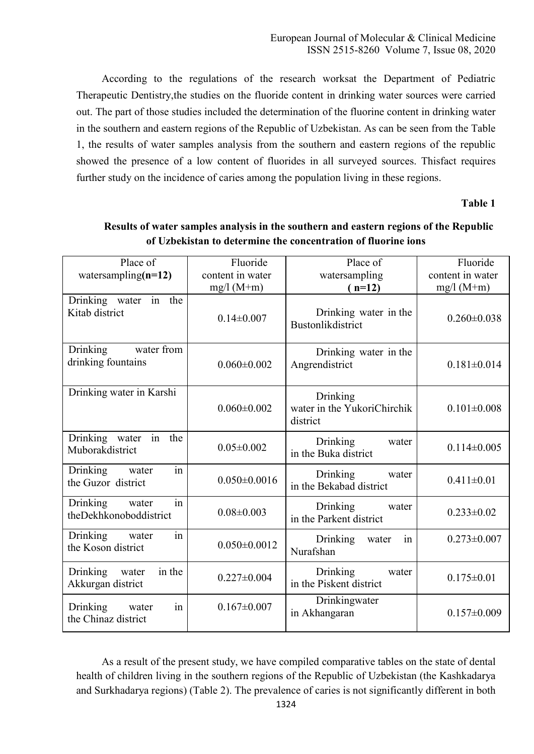According to the regulations of the research worksat the Department of Pediatric Therapeutic Dentistry,the studies on the fluoride content in drinking water sources were carried out. The part of those studies included the determination of the fluorine content in drinking water in the southern and eastern regions of the Republic of Uzbekistan. As can be seen from the Table 1, the results of water samples analysis from the southern and eastern regions of the republic showed the presence of a low content of fluorides in all surveyed sources. Thisfact requires further study on the incidence of caries among the population living in these regions.

## **Table 1**

| Place of                                                | Fluoride           | Place of                                            | Fluoride          |  |
|---------------------------------------------------------|--------------------|-----------------------------------------------------|-------------------|--|
| watersampling( $n=12$ )                                 | content in water   | watersampling                                       | content in water  |  |
|                                                         | $mg/l(M+m)$        | $(n=12)$                                            | $mg/1 (M+m)$      |  |
| in<br>Drinking water<br>the<br>Kitab district           | $0.14\pm0.007$     | Drinking water in the<br>Bustonlikdistrict          | $0.260 \pm 0.038$ |  |
| <b>Drinking</b><br>water from<br>drinking fountains     | $0.060 \pm 0.002$  | Drinking water in the<br>Angrendistrict             | $0.181 \pm 0.014$ |  |
| Drinking water in Karshi                                | $0.060 \pm 0.002$  | Drinking<br>water in the YukoriChirchik<br>district | $0.101 \pm 0.008$ |  |
| Drinking water<br>in<br>the<br>Muborakdistrict          | $0.05 \pm 0.002$   | Drinking<br>water<br>in the Buka district           | $0.114 \pm 0.005$ |  |
| in<br>Drinking<br>water<br>the Guzor district           | $0.050 \pm 0.0016$ | <b>Drinking</b><br>water<br>in the Bekabad district | $0.411 \pm 0.01$  |  |
| in<br>Drinking<br>water<br>theDekhkonoboddistrict       | $0.08 \pm 0.003$   | Drinking<br>water<br>in the Parkent district        | $0.233 \pm 0.02$  |  |
| in<br><b>Drinking</b><br>water<br>the Koson district    | $0.050 \pm 0.0012$ | Drinking<br>water<br>in<br>Nurafshan                | $0.273 \pm 0.007$ |  |
| in the<br><b>Drinking</b><br>water<br>Akkurgan district | $0.227 \pm 0.004$  | Drinking<br>water<br>in the Piskent district        | $0.175 \pm 0.01$  |  |
| in<br>Drinking<br>water<br>the Chinaz district          | $0.167 \pm 0.007$  | Drinkingwater<br>in Akhangaran                      | $0.157 \pm 0.009$ |  |

## **Results of water samples analysis in the southern and eastern regions of the Republic of Uzbekistan to determine the concentration of fluorine ions**

As a result of the present study, we have compiled comparative tables on the state of dental health of children living in the southern regions of the Republic of Uzbekistan (the Kashkadarya and Surkhadarya regions) (Table 2). The prevalence of caries is not significantly different in both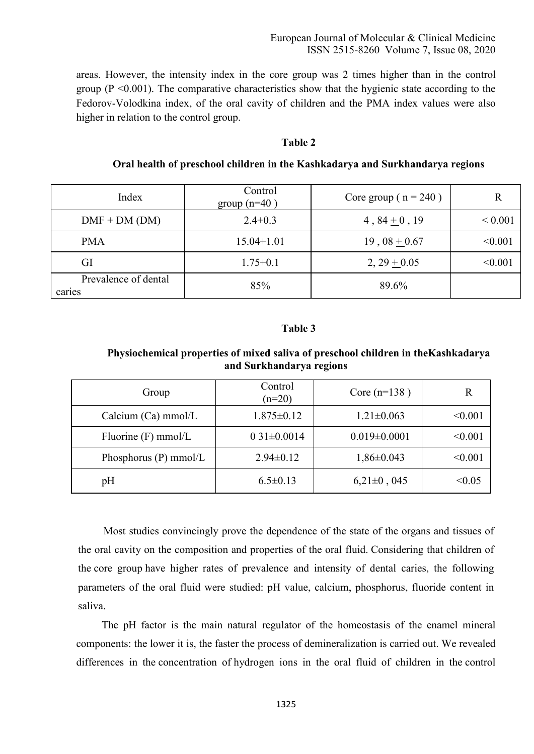areas. However, the intensity index in the core group was 2 times higher than in the control group ( $P \le 0.001$ ). The comparative characteristics show that the hygienic state according to the Fedorov-Volodkina index, of the oral cavity of children and the PMA index values were also higher in relation to the control group.

## **Table 2**

| Oral health of preschool children in the Kashkadarya and Surkhandarya regions |  |  |  |  |  |  |
|-------------------------------------------------------------------------------|--|--|--|--|--|--|
|-------------------------------------------------------------------------------|--|--|--|--|--|--|

| Index                          | Control<br>group $(n=40)$ | Core group ( $n = 240$ ) | R           |
|--------------------------------|---------------------------|--------------------------|-------------|
| $DMF + DM (DM)$                | $2.4 + 0.3$               | 4, $84 \pm 0$ , 19       | ${}< 0.001$ |
| <b>PMA</b>                     | $15.04 + 1.01$            | $19,08 + 0.67$           | < 0.001     |
| GI                             | $1.75 + 0.1$              | $2, 29 + 0.05$           | < 0.001     |
| Prevalence of dental<br>caries | 85%                       | 89.6%                    |             |

#### **Table 3**

#### **Physiochemical properties of mixed saliva of preschool children in theKashkadarya and Surkhandarya regions**

| Group                   | Control<br>$(n=20)$ | Core $(n=138)$     | R       |
|-------------------------|---------------------|--------------------|---------|
| Calcium $(Ca)$ mmol/L   | $1.875 \pm 0.12$    | $1.21 \pm 0.063$   | < 0.001 |
| Fluorine $(F)$ mmol/L   | $031 \pm 0.0014$    | $0.019 \pm 0.0001$ | < 0.001 |
| Phosphorus $(P)$ mmol/L | $2.94 \pm 0.12$     | $1,86 \pm 0.043$   | < 0.001 |
| pH                      | $6.5 \pm 0.13$      | $6,21\pm0,045$     | < 0.05  |

Most studies convincingly prove the dependence of the state of the organs and tissues of the oral cavity on the composition and properties of the oral fluid. Considering that children of the core group have higher rates of prevalence and intensity of dental caries, the following parameters of the oral fluid were studied: pH value, calcium, phosphorus, fluoride content in saliva.

The pH factor is the main natural regulator of the homeostasis of the enamel mineral components: the lower it is, the faster the process of demineralization is carried out. We revealed differences in the concentration of hydrogen ions in the oral fluid of children in the control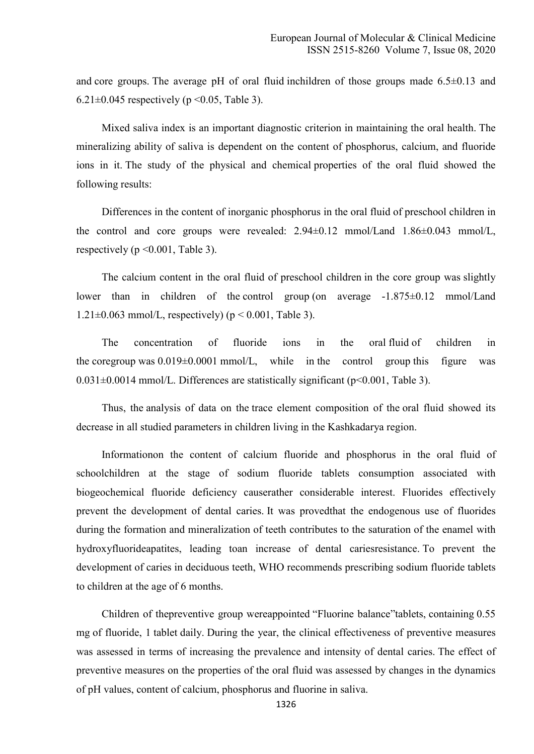and core groups. The average pH of oral fluid inchildren of those groups made  $6.5\pm0.13$  and 6.21 $\pm$ 0.045 respectively (p < 0.05, Table 3).

Mixed saliva index is an important diagnostic criterion in maintaining the oral health. The mineralizing ability of saliva is dependent on the content of phosphorus, calcium, and fluoride ions in it. The study of the physical and chemical properties of the oral fluid showed the following results:

Differences in the content of inorganic phosphorus in the oral fluid of preschool children in the control and core groups were revealed: 2.94±0.12 mmol/Land 1.86±0.043 mmol/L, respectively ( $p \le 0.001$ , Table 3).

The calcium content in the oral fluid of preschool children in the core group was slightly lower than in children of the control group (on average -1.875±0.12 mmol/Land 1.21 $\pm$ 0.063 mmol/L, respectively) (p < 0.001, Table 3).

The concentration of fluoride ions in the oral fluid of children in the coregroup was  $0.019 \pm 0.0001$  mmol/L, while in the control group this figure was 0.031±0.0014 mmol/L. Differences are statistically significant (p<0.001, Table 3).

Thus, the analysis of data on the trace element composition of the oral fluid showed its decrease in all studied parameters in children living in the Kashkadarya region.

Informationon the content of calcium fluoride and phosphorus in the oral fluid of schoolchildren at the stage of sodium fluoride tablets consumption associated with biogeochemical fluoride deficiency causerather considerable interest. Fluorides effectively prevent the development of dental caries. It was provedthat the endogenous use of fluorides during the formation and mineralization of teeth contributes to the saturation of the enamel with hydroxyfluorideapatites, leading toan increase of dental cariesresistance. To prevent the development of caries in deciduous teeth, WHO recommends prescribing sodium fluoride tablets to children at the age of 6 months.

Children of thepreventive group wereappointed "Fluorine balance"tablets, containing 0.55 mg of fluoride, 1 tablet daily. During the year, the clinical effectiveness of preventive measures was assessed in terms of increasing the prevalence and intensity of dental caries. The effect of preventive measures on the properties of the oral fluid was assessed by changes in the dynamics of pH values, content of calcium, phosphorus and fluorine in saliva.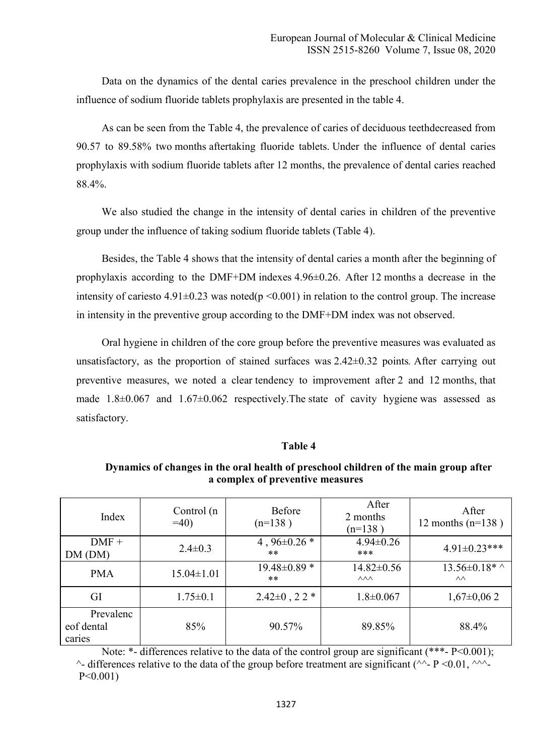Data on the dynamics of the dental caries prevalence in the preschool children under the influence of sodium fluoride tablets prophylaxis are presented in the table 4.

As can be seen from the Table 4, the prevalence of caries of deciduous teethdecreased from 90.57 to 89.58% two months aftertaking fluoride tablets. Under the influence of dental caries prophylaxis with sodium fluoride tablets after 12 months, the prevalence of dental caries reached 88.4%.

We also studied the change in the intensity of dental caries in children of the preventive group under the influence of taking sodium fluoride tablets (Table 4).

Besides, the Table 4 shows that the intensity of dental caries a month after the beginning of prophylaxis according to the DMF+DM indexes 4.96±0.26. After 12 months a decrease in the intensity of cariesto  $4.91\pm0.23$  was noted(p <0.001) in relation to the control group. The increase in intensity in the preventive group according to the DMF+DM index was not observed.

Oral hygiene in children of the core group before the preventive measures was evaluated as unsatisfactory, as the proportion of stained surfaces was 2.42±0.32 points*.* After carrying out preventive measures, we noted a clear tendency to improvement after 2 and 12 months, that made 1.8±0.067 and 1.67±0.062 respectively.The state of cavity hygiene was assessed as satisfactory.

#### **Table 4**

## **Dynamics of changes in the oral health of preschool children of the main group after a complex of preventive measures**

| Index                             | Control (n<br>$=40$ | Before<br>$(n=138)$         | After<br>2 months<br>$(n=138)$           | After<br>12 months $(n=138)$           |
|-----------------------------------|---------------------|-----------------------------|------------------------------------------|----------------------------------------|
| $DMF +$<br>DM (DM)                | $2.4 \pm 0.3$       | 4, $96 \pm 0.26$ *<br>$***$ | $4.94 \pm 0.26$<br>***                   | $4.91 \pm 0.23$ ***                    |
| <b>PMA</b>                        | $15.04 \pm 1.01$    | $19.48 \pm 0.89$ *<br>**    | $14.82 \pm 0.56$<br>$\wedge\wedge\wedge$ | $13.56 \pm 0.18$ * ^<br>$\wedge\wedge$ |
| GI                                | $1.75 \pm 0.1$      | $2.42 \pm 0$ , $22 *$       | $1.8 \pm 0.067$                          | $1,67\pm0,062$                         |
| Prevalenc<br>eof dental<br>caries | 85%                 | 90.57%                      | 89.85%                                   | 88.4%                                  |

Note: \*- differences relative to the data of the control group are significant (\*\*\*- P<0.001);  $\sim$ - differences relative to the data of the group before treatment are significant ( $\sim$ - P <0.01,  $\sim$ P<0.001)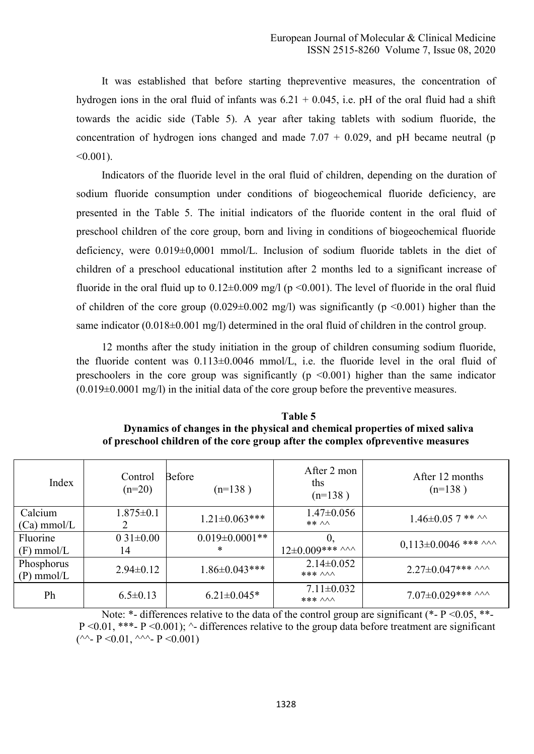It was established that before starting thepreventive measures, the concentration of hydrogen ions in the oral fluid of infants was  $6.21 + 0.045$ , i.e. pH of the oral fluid had a shift towards the acidic side (Table 5). A year after taking tablets with sodium fluoride, the concentration of hydrogen ions changed and made  $7.07 + 0.029$ , and pH became neutral (p  $< 0.001$ ).

Indicators of the fluoride level in the oral fluid of children, depending on the duration of sodium fluoride consumption under conditions of biogeochemical fluoride deficiency, are presented in the Table 5. The initial indicators of the fluoride content in the oral fluid of preschool children of the core group, born and living in conditions of biogeochemical fluoride deficiency, were 0.019±0,0001 mmol/L. Inclusion of sodium fluoride tablets in the diet of children of a preschool educational institution after 2 months led to a significant increase of fluoride in the oral fluid up to  $0.12\pm0.009$  mg/l (p <0.001). The level of fluoride in the oral fluid of children of the core group  $(0.029 \pm 0.002 \text{ mg/l})$  was significantly (p <0.001) higher than the same indicator (0.018±0.001 mg/l) determined in the oral fluid of children in the control group.

12 months after the study initiation in the group of children consuming sodium fluoride, the fluoride content was 0.113±0.0046 mmol/L, i.e. the fluoride level in the oral fluid of preschoolers in the core group was significantly ( $p \le 0.001$ ) higher than the same indicator  $(0.019\pm0.0001$  mg/l) in the initial data of the core group before the preventive measures.

| <b>Table 5</b>                                                                   |
|----------------------------------------------------------------------------------|
| Dynamics of changes in the physical and chemical properties of mixed saliva      |
| of preschool children of the core group after the complex of preventive measures |

| Index                           | Control<br>$(n=20)$   | <b>Before</b><br>$(n=138)$      | After 2 mon<br>ths<br>$(n=138)$           | After 12 months<br>$(n=138)$ |
|---------------------------------|-----------------------|---------------------------------|-------------------------------------------|------------------------------|
| Calcium<br>$(Ca) \text{mmol/L}$ | $1.875 \pm 0.1$<br>2  | $1.21 \pm 0.063$ ***            | $1.47 \pm 0.056$<br>** ^^                 | $1.46 \pm 0.05$ 7 ** ^^      |
| Fluorine<br>$(F)$ mmol/L        | $0.31 \pm 0.00$<br>14 | $0.019 \pm 0.0001$ **<br>$\ast$ | 0,<br>$12\pm0.009***$ AAA                 | $0,113\pm0.0046$ *** ^^^     |
| Phosphorus<br>$(P)$ mmol/L      | $2.94 \pm 0.12$       | $1.86 \pm 0.043$ ***            | $2.14 \pm 0.052$<br>*** $\land\land\land$ | $2.27 \pm 0.047$ *** ^^^     |
| Ph                              | $6.5 \pm 0.13$        | $6.21 \pm 0.045*$               | $7.11 \pm 0.032$<br>*** $\land\land\land$ | $7.07 \pm 0.029$ *** ^^^     |

Note:  $*$ - differences relative to the data of the control group are significant ( $*$ - P < 0.05,  $*$ -P < 0.01, \*\*\*- P < 0.001);  $\land$ - differences relative to the group data before treatment are significant (^^-  $P \le 0.01$ , ^^^-  $P \le 0.001$ )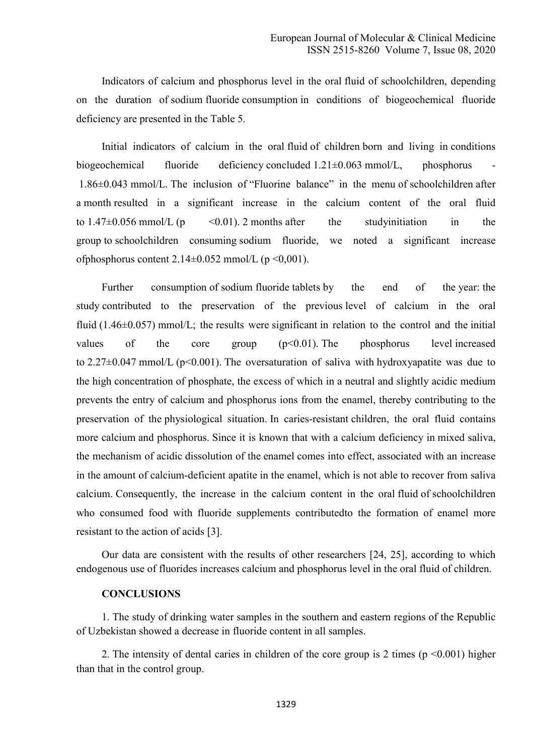Indicators of calcium and phosphorus level in the oral fluid of schoolchildren, depending on the duration of sodium fluoride consumption in conditions of biogeochemical fluoride deficiency are presented in the Table 5.

Initial indicators of calcium in the oral fluid of children born and living in conditions biogeochemical fluoride deficiency concluded 1.21±0.063 mmol/L, phosphorus - 1.86±0.043 mmol/L. The inclusion of "Fluorine balance" in the menu of schoolchildren after a month resulted in a significant increase in the calcium content of the oral fluid to  $1.47\pm0.056$  mmol/L (p < 0.01). 2 months after the studyinitiation in the group to schoolchildren consuming sodium fluoride, we noted a significant increase ofphosphorus content  $2.14\pm0.052$  mmol/L (p <0,001).

Further consumption of sodium fluoride tablets by the end of the year: the study contributed to the preservation of the previous level of calcium in the oral fluid  $(1.46\pm0.057)$  mmol/L; the results were significant in relation to the control and the initial values of the core group  $(p<0.01)$ . The phosphorus level increased to 2.27 $\pm$ 0.047 mmol/L (p<0.001). The oversaturation of saliva with hydroxyapatite was due to the high concentration of phosphate, the excess of which in a neutral and slightly acidic medium prevents the entry of calcium and phosphorus ions from the enamel, thereby contributing to the preservation of the physiological situation. In caries-resistant children, the oral fluid contains more calcium and phosphorus. Since it is known that with a calcium deficiency in mixed saliva, the mechanism of acidic dissolution of the enamel comes into effect, associated with an increase in the amount of calcium-deficient apatite in the enamel, which is not able to recover from saliva calcium. Consequently, the increase in the calcium content in the oral fluid of schoolchildren who consumed food with fluoride supplements contributedto the formation of enamel more resistant to the action of acids [3].

Our data are consistent with the results of other researchers [24, 25], according to which endogenous use of fluorides increases calcium and phosphorus level in the oral fluid of children.

## **CONCLUSIONS**

1. The study of drinking water samples in the southern and eastern regions of the Republic of Uzbekistan showed a decrease in fluoride content in all samples.

2. The intensity of dental caries in children of the core group is 2 times (p <0.001) higher than that in the control group.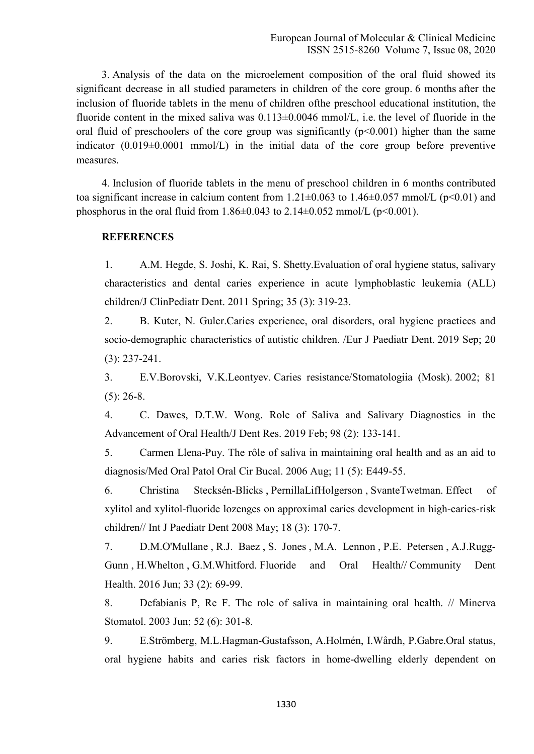3. Analysis of the data on the microelement composition of the oral fluid showed its significant decrease in all studied parameters in children of the core group. 6 months after the inclusion of fluoride tablets in the menu of children ofthe preschool educational institution, the fluoride content in the mixed saliva was  $0.113\pm0.0046$  mmol/L, i.e. the level of fluoride in the oral fluid of preschoolers of the core group was significantly  $(p<0.001)$  higher than the same indicator  $(0.019\pm0.0001 \text{ mmol/L})$  in the initial data of the core group before preventive measures.

4. Inclusion of fluoride tablets in the menu of preschool children in 6 months contributed toa significant increase in calcium content from  $1.21 \pm 0.063$  to  $1.46 \pm 0.057$  mmol/L (p<0.01) and phosphorus in the oral fluid from  $1.86 \pm 0.043$  to  $2.14 \pm 0.052$  mmol/L (p<0.001).

## **REFERENCES**

1. A.M. Hegde, S. Joshi, K. Rai, S. Shetty.Evaluation of oral hygiene status, salivary characteristics and dental caries experience in acute lymphoblastic leukemia (ALL) children/J ClinPediatr Dent. 2011 Spring; 35 (3): 319-23.

2. B. Kuter, N. Guler.Caries experience, oral disorders, oral hygiene practices and socio-demographic characteristics of autistic children. /Eur J Paediatr Dent. 2019 Sep; 20 (3): 237-241.

3. E.V.Borovski, V.K.Leontyev. Caries resistance/Stomatologiia (Mosk). 2002; 81  $(5)$ : 26-8.

4. C. Dawes, D.T.W. Wong. Role of Saliva and Salivary Diagnostics in the Advancement of Oral Health/J Dent Res. 2019 Feb; 98 (2): 133-141.

5. Carmen Llena-Puy. The rôle of saliva in maintaining oral health and as an aid to diagnosis/Med Oral Patol Oral Cir Bucal. 2006 Aug; 11 (5): E449-55.

6. Christina Stecksén-Blicks , PernillaLifHolgerson , SvanteTwetman. Effect of xylitol and xylitol-fluoride lozenges on approximal caries development in high-caries-risk children// Int J Paediatr Dent 2008 May; 18 (3): 170-7.

7. D.M.O'Mullane , R.J. Baez , S. Jones , M.A. Lennon , P.E. Petersen , A.J.Rugg-Gunn , H.Whelton , G.M.Whitford. Fluoride and Oral Health// Community Dent Health. 2016 Jun; 33 (2): 69-99.

8. Defabianis P, Re F. The role of saliva in maintaining oral health. // Minerva Stomatol. 2003 Jun; 52 (6): 301-8.

9. E.Strömberg, M.L.Hagman-Gustafsson, A.Holmén, I.Wårdh, P.Gabre.Oral status, oral hygiene habits and caries risk factors in home-dwelling elderly dependent on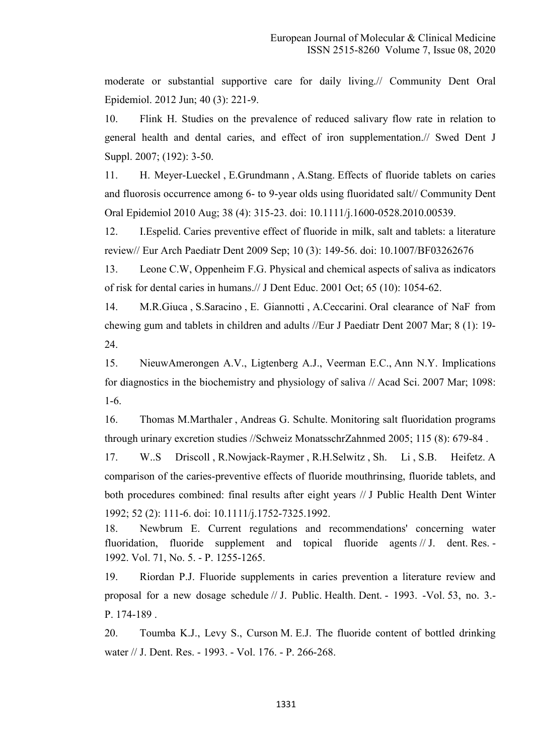moderate or substantial supportive care for daily living.// Community Dent Oral Epidemiol. 2012 Jun; 40 (3): 221-9.

10. Flink H. Studies on the prevalence of reduced salivary flow rate in relation to general health and dental caries, and effect of iron supplementation.// Swed Dent J Suppl. 2007; (192): 3-50.

11. H. Meyer-Lueckel , E.Grundmann , A.Stang. Effects of fluoride tablets on caries and fluorosis occurrence among 6- to 9-year olds using fluoridated salt// Community Dent Oral Epidemiol 2010 Aug; 38 (4): 315-23. doi: 10.1111/j.1600-0528.2010.00539.

12. I.Espelid. Caries preventive effect of fluoride in milk, salt and tablets: a literature review// Eur Arch Paediatr Dent 2009 Sep; 10 (3): 149-56. doi: 10.1007/BF03262676

13. Leone C.W, Oppenheim F.G. Physical and chemical aspects of saliva as indicators of risk for dental caries in humans.// J Dent Educ. 2001 Oct; 65 (10): 1054-62.

14. M.R.Giuca , S.Saracino , E. Giannotti , A.Ceccarini. Oral clearance of NaF from chewing gum and tablets in children and adults //Eur J Paediatr Dent 2007 Mar; 8 (1): 19- 24.

15. NieuwAmerongen A.V., Ligtenberg A.J., Veerman E.C., Ann N.Y. Implications for diagnostics in the biochemistry and physiology of saliva // Acad Sci. 2007 Mar; 1098: 1-6.

16. Thomas M.Marthaler , Andreas G. Schulte. Monitoring salt fluoridation programs through urinary excretion studies //Schweiz MonatsschrZahnmed 2005; 115 (8): 679-84 .

17. W..S Driscoll , R.Nowjack-Raymer , R.H.Selwitz , Sh. Li , S.B. Heifetz. A comparison of the caries-preventive effects of fluoride mouthrinsing, fluoride tablets, and both procedures combined: final results after eight years // J Public Health Dent Winter 1992; 52 (2): 111-6. doi: 10.1111/j.1752-7325.1992.

18. Newbrum E. Current regulations and recommendations' concerning water fluoridation, fluoride supplement and topical fluoride agents // J. dent. Res. -1992. Vol. 71, No. 5. - P. 1255-1265.

19. Riordan P.J. Fluoride supplements in caries prevention a literature review and proposal for a new dosage schedule // J. Public. Health. Dent. - 1993. -Vol. 53, no. 3.- P. 174-189 .

20. Toumba K.J., Levy S., Curson M. E.J. The fluoride content of bottled drinking water // J. Dent. Res. - 1993. - Vol. 176. - P. 266-268.